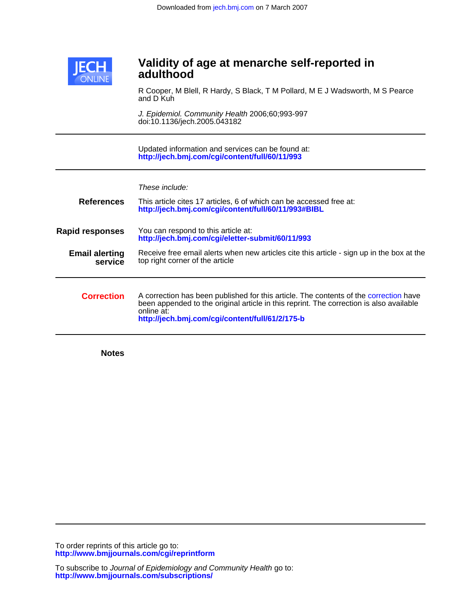

# **adulthood Validity of age at menarche self-reported in**

and D Kuh R Cooper, M Blell, R Hardy, S Black, T M Pollard, M E J Wadsworth, M S Pearce

doi:10.1136/jech.2005.043182 J. Epidemiol. Community Health 2006;60;993-997

**<http://jech.bmj.com/cgi/content/full/60/11/993>** Updated information and services can be found at:

| <b>References</b>                | These include:<br>This article cites 17 articles, 6 of which can be accessed free at:<br>http://jech.bmj.com/cgi/content/full/60/11/993#BIBL                                                                                                      |
|----------------------------------|---------------------------------------------------------------------------------------------------------------------------------------------------------------------------------------------------------------------------------------------------|
| <b>Rapid responses</b>           | You can respond to this article at:<br>http://jech.bmj.com/cgi/eletter-submit/60/11/993                                                                                                                                                           |
| <b>Email alerting</b><br>service | Receive free email alerts when new articles cite this article - sign up in the box at the<br>top right corner of the article                                                                                                                      |
| <b>Correction</b>                | A correction has been published for this article. The contents of the correction have<br>been appended to the original article in this reprint. The correction is also available<br>online at:<br>http://jech.bmj.com/cgi/content/full/61/2/175-b |

**Notes**

**<http://www.bmjjournals.com/cgi/reprintform>** To order reprints of this article go to: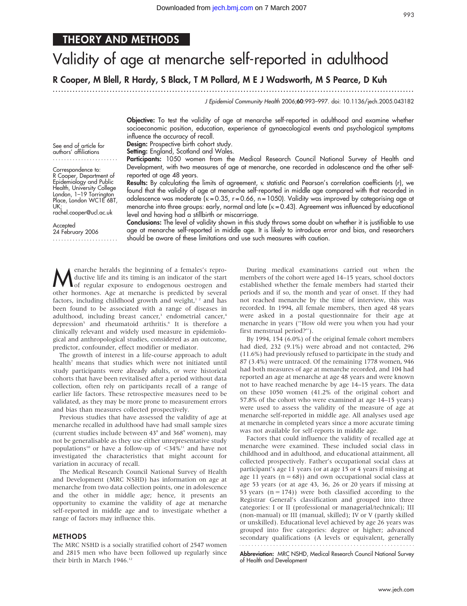# THEORY AND METHODS

# Validity of age at menarche self-reported in adulthood

R Cooper, M Blell, R Hardy, S Black, T M Pollard, M E J Wadsworth, M S Pearce, D Kuh

............................................................... ............................................................... .

J Epidemiol Community Health 2006;60:993–997. doi: 10.1136/jech.2005.043182

Objective: To test the validity of age at menarche self-reported in adulthood and examine whether socioeconomic position, education, experience of gynaecological events and psychological symptoms influence the accuracy of recall.

Design: Prospective birth cohort study.

Setting: England, Scotland and Wales.

Participants: 1050 women from the Medical Research Council National Survey of Health and Development, with two measures of age at menarche, one recorded in adolescence and the other selfreported at age 48 years.

Results: By calculating the limits of agreement, k statistic and Pearson's correlation coefficients (r), we found that the validity of age at menarche self-reported in middle age compared with that recorded in adolescence was moderate  $(k = 0.35, r = 0.66, n = 1050)$ . Validity was improved by categorising age at menarche into three groups: early, normal and late ( $k = 0.43$ ). Agreement was influenced by educational level and having had a stillbirth or miscarriage.

Conclusions: The level of validity shown in this study throws some doubt on whether it is justifiable to use age at menarche self-reported in middle age. It is likely to introduce error and bias, and researchers should be aware of these limitations and use such measures with caution.

Menarche heralds the beginning of a females's repro-<br>
of regular exposure to endogenous oestrogen and<br>
other hormones, Age at menarche is predicted by expect ductive life and its timing is an indicator of the start other hormones. Age at menarche is predicted by several factors, including childhood growth and weight, $12$  and has been found to be associated with a range of diseases in adulthood, including breast cancer,<sup>3</sup> endometrial cancer,<sup>4</sup> depression<sup>5</sup> and rheumatoid arthritis.<sup>6</sup> It is therefore a clinically relevant and widely used measure in epidemiological and anthropological studies, considered as an outcome, predictor, confounder, effect modifier or mediator.

The growth of interest in a life-course approach to adult health<sup>7</sup> means that studies which were not initiated until study participants were already adults, or were historical cohorts that have been revitalised after a period without data collection, often rely on participants recall of a range of earlier life factors. These retrospective measures need to be validated, as they may be more prone to measurement errors and bias than measures collected prospectively.

Previous studies that have assessed the validity of age at menarche recalled in adulthood have had small sample sizes (current studies include between 43<sup>8</sup> and 368<sup>9</sup> women), may not be generalisable as they use either unrepresentative study populations<sup>10</sup> or have a follow-up of  $\langle 34\%^{11}$  and have not investigated the characteristics that might account for variation in accuracy of recall.

The Medical Research Council National Survey of Health and Development (MRC NSHD) has information on age at menarche from two data collection points, one in adolescence and the other in middle age; hence, it presents an opportunity to examine the validity of age at menarche self-reported in middle age and to investigate whether a range of factors may influence this.

#### METHODS

The MRC NSHD is a socially stratified cohort of 2547 women and 2815 men who have been followed up regularly since their birth in March 1946.<sup>12</sup>

During medical examinations carried out when the members of the cohort were aged 14–15 years, school doctors established whether the female members had started their periods and if so, the month and year of onset. If they had not reached menarche by the time of interview, this was recorded. In 1994, all female members, then aged 48 years were asked in a postal questionnaire for their age at menarche in years (''How old were you when you had your first menstrual period?'').

By 1994, 154 (6.0%) of the original female cohort members had died, 232 (9.1%) were abroad and not contacted, 296 (11.6%) had previously refused to participate in the study and 87 (3.4%) were untraced. Of the remaining 1778 women, 946 had both measures of age at menarche recorded, and 104 had reported an age at menarche at age 48 years and were known not to have reached menarche by age 14–15 years. The data on these 1050 women (41.2% of the original cohort and 57.8% of the cohort who were examined at age 14–15 years) were used to assess the validity of the measure of age at menarche self-reported in middle age. All analyses used age at menarche in completed years since a more accurate timing was not available for self-reports in middle age.

Factors that could influence the validity of recalled age at menarche were examined. These included social class in childhood and in adulthood, and educational attainment, all collected prospectively. Father's occupational social class at participant's age 11 years (or at age 15 or 4 years if missing at age 11 years  $(n = 68)$  and own occupational social class at age 53 years (or at age 43, 36, 26 or 20 years if missing at 53 years  $(n = 174)$ ) were both classified according to the Registrar General's classification and grouped into three categories: I or II (professional or managerial/technical); III (non-manual) or III (manual, skilled); IV or V (partly skilled or unskilled). Educational level achieved by age 26 years was grouped into five categories: degree or higher; advanced secondary qualifications (A levels or equivalent, generally 

Abbreviation: MRC NSHD, Medical Research Council National Survey of Health and Development

See end of article for

authors' affiliations .......................

Correspondence to: R Cooper, Department of Epidemiology and Public Health, University College London, 1-19 Torrington Place, London WC1E 6BT, UK; rachel.cooper@ucl.ac.uk

Accepted 24 February 2006 .......................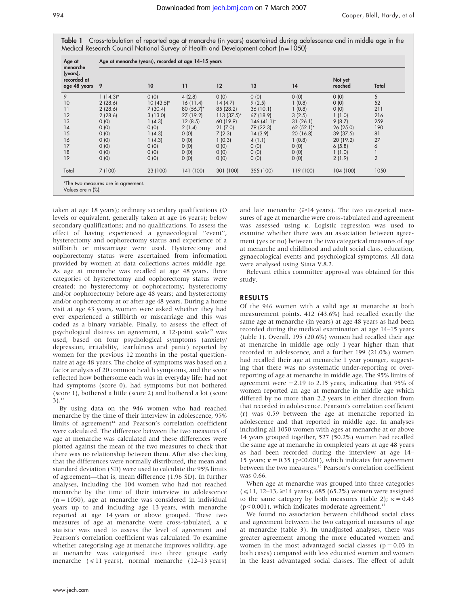| Age at<br>menarche                      | Age at menarche (years), recorded at age 14-15 years |              |               |               |                 |               |                    |                |  |  |
|-----------------------------------------|------------------------------------------------------|--------------|---------------|---------------|-----------------|---------------|--------------------|----------------|--|--|
| (years),<br>recorded at<br>age 48 years | -9                                                   | 10           | 11            | 12            | 13              | 14            | Not yet<br>reached | Total          |  |  |
| 9                                       | $1(14.3)$ *                                          | 0(0)         | 4(2.8)        | 0(0)          | 0(0)            | (0)           | 0(0)               | 5              |  |  |
| 10                                      | 2(28.6)                                              | $10(43.5)^*$ | 16(11.4)      | 14(4.7)       | 9(2.5)          | 1(0.8)        | 0(0)               | 52             |  |  |
| 11                                      | 2(28.6)                                              | 7(30.4)      | 80 $(56.7)^*$ | 85 (28.2)     | 36(10.1)        | 1(0.8)        | 0(0)               | 211            |  |  |
| 12                                      | 2(28.6)                                              | 3(13.0)      | 27 (19.2)     | $113(37.5)^*$ | 67 (18.9)       | 3(2.5)        | 1(1.0)             | 216            |  |  |
| 13                                      | 0(0)                                                 | 1(4.3)       | 12(8.5)       | 60 (19.9)     | $146(41.1)^{*}$ | 31(26.1)      | 9(8.7)             | 259            |  |  |
| 14                                      | 0(0)                                                 | 0(0)         | 2(1.4)        | 21(7.0)       | 79 (22.3)       | 62 $(52.1)$ * | 26(25.0)           | 190            |  |  |
| 15                                      | 0(0)                                                 | 1(4.3)       | 0(0)          | 7(2.3)        | 14(3.9)         | 20(16.8)      | 39(37.5)           | 81             |  |  |
| 16                                      | 0(0)                                                 | 1(4.3)       | 0(0)          | 1(0.3)        | 4(1.1)          | 1(0.8)        | 20(19.2)           | 27             |  |  |
| 17                                      | 0(0)                                                 | 0(0)         | 0(0)          | 0(0)          | 0(0)            | 0(0)          | 6(5.8)             | 6              |  |  |
| 18                                      | 0(0)                                                 | 0(0)         | 0(0)          | 0(0)          | 0(0)            | 0(0)          | 1(1.0)             |                |  |  |
| 19                                      | 0(0)                                                 | 0(0)         | 0(0)          | 0(0)          | 0(0)            | 0(0)          | 2(1.9)             | $\overline{2}$ |  |  |
| Total                                   | 7(100)                                               | 23 (100)     | 141 (100)     | 301 (100)     | 355 (100)       | 119 (100)     | 104 (100)          | 1050           |  |  |

taken at age 18 years); ordinary secondary qualifications (O levels or equivalent, generally taken at age 16 years); below secondary qualifications; and no qualifications. To assess the effect of having experienced a gynaecological ''event'', hysterectomy and oophorectomy status and experience of a stillbirth or miscarriage were used. Hysterectomy and oophorectomy status were ascertained from information provided by women at data collections across middle age. As age at menarche was recalled at age 48 years, three categories of hysterectomy and oophorectomy status were created: no hysterectomy or oophorectomy; hysterectomy and/or oophorectomy before age 48 years; and hysterectomy and/or oophorectomy at or after age 48 years. During a home visit at age 43 years, women were asked whether they had ever experienced a stillbirth or miscarriage and this was coded as a binary variable. Finally, to assess the effect of psychological distress on agreement, a 12-point scale<sup>13</sup> was used, based on four psychological symptoms (anxiety/ depression, irritability, tearfulness and panic) reported by women for the previous 12 months in the postal questionnaire at age 48 years. The choice of symptoms was based on a factor analysis of 20 common health symptoms, and the score reflected how bothersome each was in everyday life: had not had symptoms (score 0), had symptoms but not bothered (score 1), bothered a little (score 2) and bothered a lot (score  $3)$ .<sup>13</sup>

By using data on the 946 women who had reached menarche by the time of their interview in adolescence, 95% limits of agreement $14$  and Pearson's correlation coefficient were calculated. The difference between the two measures of age at menarche was calculated and these differences were plotted against the mean of the two measures to check that there was no relationship between them. After also checking that the differences were normally distributed, the mean and standard deviation (SD) were used to calculate the 95% limits of agreement—that is, mean difference (1.96 SD). In further analyses, including the 104 women who had not reached menarche by the time of their interview in adolescence  $(n = 1050)$ , age at menarche was considered in individual years up to and including age 13 years, with menarche reported at age 14 years or above grouped. These two measures of age at menarche were cross-tabulated, a k statistic was used to assess the level of agreement and Pearson's correlation coefficient was calculated. To examine whether categorising age at menarche improves validity, age at menarche was categorised into three groups: early menarche  $(\leq 11 \text{ years})$ , normal menarche (12–13 years)

and late menarche  $(\geq 14 \text{ years})$ . The two categorical measures of age at menarche were cross-tabulated and agreement was assessed using k. Logistic regression was used to examine whether there was an association between agreement (yes or no) between the two categorical measures of age at menarche and childhood and adult social class, education, gynaecological events and psychological symptoms. All data were analysed using Stata V.8.2.

Relevant ethics committee approval was obtained for this study.

## RESULTS

Of the 946 women with a valid age at menarche at both measurement points, 412 (43.6%) had recalled exactly the same age at menarche (in years) at age 48 years as had been recorded during the medical examination at age 14–15 years (table 1). Overall, 195 (20.6%) women had recalled their age at menarche in middle age only 1 year higher than that recorded in adolescence, and a further 199 (21.0%) women had recalled their age at menarche 1 year younger, suggesting that there was no systematic under-reporting or overreporting of age at menarche in middle age. The 95% limits of agreement were  $-2.19$  to 2.15 years, indicating that 95% of women reported an age at menarche in middle age which differed by no more than 2.2 years in either direction from that recorded in adolescence. Pearson's correlation coefficient (r) was 0.59 between the age at menarche reported in adolescence and that reported in middle age. In analyses including all 1050 women with ages at menarche at or above 14 years grouped together, 527 (50.2%) women had recalled the same age at menarche in completed years at age 48 years as had been recorded during the interview at age 14– 15 years;  $\kappa = 0.35$  (p<0.001), which indicates fair agreement between the two measures.<sup>15</sup> Pearson's correlation coefficient was 0.66.

When age at menarche was grouped into three categories  $(< 11, 12-13, \ge 14$  years), 685 (65.2%) women were assigned to the same category by both measures (table 2);  $\kappa = 0.43$  $(p<0.001)$ , which indicates moderate agreement.<sup>15</sup>

We found no association between childhood social class and agreement between the two categorical measures of age at menarche (table 3). In unadjusted analyses, there was greater agreement among the more educated women and women in the most advantaged social classes ( $p = 0.03$  in both cases) compared with less educated women and women in the least advantaged social classes. The effect of adult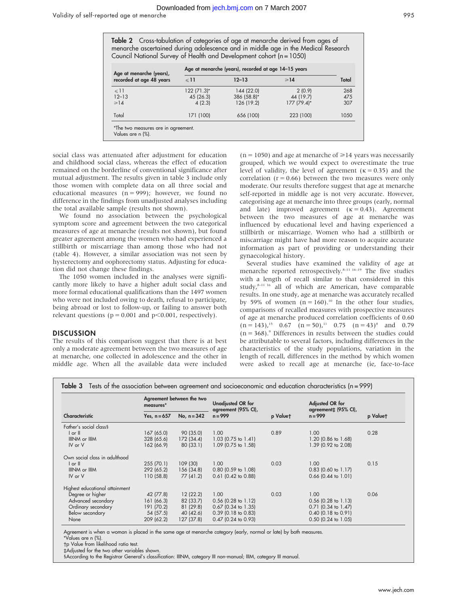| <b>Table 2</b> Cross-tabulation of categories of age at menarche derived from ages of |  |  |  |
|---------------------------------------------------------------------------------------|--|--|--|
| menarche ascertained during adolescence and in middle age in the Medical Research     |  |  |  |
| Council National Survey of Health and Development cohort (n=1050)                     |  |  |  |

| Age at menarche (years),                                 | Age at menarche (years), recorded at age 14-15 years |                                         |                                    |                   |  |  |  |
|----------------------------------------------------------|------------------------------------------------------|-----------------------------------------|------------------------------------|-------------------|--|--|--|
| recorded at age 48 years                                 | $\leq 11$                                            | $12 - 13$                               | $\geq 14$                          | Total             |  |  |  |
| $\leq 11$<br>$12 - 13$<br>$\geq 14$                      | 122 (71.3)*<br>45 (26.3)<br>4(2.3)                   | 144 (22.0)<br>386 (58.8)*<br>126 (19.2) | 2(0.9)<br>44 (19.7)<br>177 (79.4)* | 268<br>475<br>307 |  |  |  |
| Total                                                    | 171 (100)                                            | 656 (100)                               | 223 (100)                          | 1050              |  |  |  |
| *The two measures are in agreement.<br>Values are n (%). |                                                      |                                         |                                    |                   |  |  |  |

social class was attenuated after adjustment for education and childhood social class, whereas the effect of education remained on the borderline of conventional significance after mutual adjustment. The results given in table 3 include only those women with complete data on all three social and educational measures  $(n = 999)$ ; however, we found no difference in the findings from unadjusted analyses including the total available sample (results not shown).

We found no association between the psychological symptom score and agreement between the two categorical measures of age at menarche (results not shown), but found greater agreement among the women who had experienced a stillbirth or miscarriage than among those who had not (table 4). However, a similar association was not seen by hysterectomy and oophorectomy status. Adjusting for education did not change these findings.

The 1050 women included in the analyses were significantly more likely to have a higher adult social class and more formal educational qualifications than the 1497 women who were not included owing to death, refusal to participate, being abroad or lost to follow-up, or failing to answer both relevant questions ( $p = 0.001$  and  $p \le 0.001$ , respectively).

#### **DISCUSSION**

The results of this comparison suggest that there is at best only a moderate agreement between the two measures of age at menarche, one collected in adolescence and the other in middle age. When all the available data were included  $(n = 1050)$  and age at menarche of  $\geq 14$  years was necessarily grouped, which we would expect to overestimate the true level of validity, the level of agreement ( $\kappa = 0.35$ ) and the correlation ( $r = 0.66$ ) between the two measures were only moderate. Our results therefore suggest that age at menarche self-reported in middle age is not very accurate. However, categorising age at menarche into three groups (early, normal and late) improved agreement  $(\kappa = 0.43)$ . Agreement between the two measures of age at menarche was influenced by educational level and having experienced a stillbirth or miscarriage. Women who had a stillbirth or miscarriage might have had more reason to acquire accurate information as part of providing or understanding their gynaecological history.

Several studies have examined the validity of age at menarche reported retrospectively.<sup>8-11 16-19</sup> The five studies with a length of recall similar to that considered in this study, $8-11$  16 all of which are American, have comparable results. In one study, age at menarche was accurately recalled by 59% of women  $(n = 160)^{10}$  In the other four studies, comparisons of recalled measures with prospective measures of age at menarche produced correlation coefficients of 0.60  $(n = 143)$ ,<sup>15</sup> 0.67  $(n = 50)$ ,<sup>11</sup> 0.75  $(n = 43)$ <sup>8</sup> and 0.79  $(n = 368)$ .<sup>9</sup> Differences in results between the studies could be attributable to several factors, including differences in the characteristics of the study populations, variation in the length of recall, differences in the method by which women were asked to recall age at menarche (ie, face-to-face

|  |  | <b>Table 3</b> Tests of the association between agreement and socioeconomic and education characteristics ( $n = 999$ ) |  |  |
|--|--|-------------------------------------------------------------------------------------------------------------------------|--|--|
|  |  |                                                                                                                         |  |  |

|                                | Agreement between the two<br>measures*<br>No, $n = 342$<br>Yes, $n = 657$ |            | <b>Unadjusted OR for</b><br>agreement (95% CI),<br>$n = 999$<br>p Valuet |      | Adjusted OR for<br>agreement‡ (95% CI), |          |
|--------------------------------|---------------------------------------------------------------------------|------------|--------------------------------------------------------------------------|------|-----------------------------------------|----------|
| Characteristic                 |                                                                           |            |                                                                          |      | $n = 999$                               | p Valuet |
| Father's social class §        |                                                                           |            |                                                                          |      |                                         |          |
| $I$ or $II$                    | 167 (65.0)                                                                | 90 (35.0)  | 1.00 <sub>1</sub>                                                        | 0.89 | 1.00                                    | 0.28     |
| IIINM or IIIM                  | 328 (65.6)                                                                | 172 (34.4) | $1.03$ (0.75 to 1.41)                                                    |      | 1.20 (0.86 to 1.68)                     |          |
| IV or V                        | 162 (66.9)                                                                | 80(33.1)   | 1.09 (0.75 to 1.58)                                                      |      | 1.39 (0.92 to 2.08)                     |          |
| Own social class in adulthood  |                                                                           |            |                                                                          |      |                                         |          |
| $ $ or $ $                     | 255(70.1)                                                                 | 109 (30)   | 1.00                                                                     | 0.03 | 1.00                                    | 0.15     |
| IIINM or IIIM                  | 292 (65.2)                                                                | 156 (34.8) | $0.80$ (0.59 to 1.08)                                                    |      | $0.83$ (0.60 to 1.17)                   |          |
| IV or V                        | 110(58.8)                                                                 | 77(41.2)   | $0.61$ (0.42 to 0.88)                                                    |      | $0.66$ (0.44 to 1.01)                   |          |
| Highest educational attainment |                                                                           |            |                                                                          |      |                                         |          |
| Degree or higher               | 42 (77.8)                                                                 | 12(22.2)   | 1.00                                                                     | 0.03 | 1.00                                    | 0.06     |
| Advanced secondary             | 161 (66.3)                                                                | 82 (33.7)  | $0.56$ (0.28 to 1.12)                                                    |      | $0.56$ (0.28 to 1.13)                   |          |
| Ordinary secondary             | 191 (70.2)                                                                | 81(29.8)   | $0.67$ (0.34 to 1.35)                                                    |      | $0.71$ (0.34 to 1.47)                   |          |
| Below secondary                | 54 (57.5)                                                                 | 40 (42.6)  | $0.39$ (0.18 to 0.83)                                                    |      | $0.40$ (0.18 to 0.91)                   |          |
| None                           | 209 (62.2)                                                                | 127 (37.8) | $0.47$ (0.24 to 0.93)                                                    |      | $0.50$ (0.24 to 1.05)                   |          |

Agreement is when a woman is placed in the same age at menarche category (early, normal or late) by both measures.

\*Values are n (%).

-p Value from likelihood ratio test.

`Adjusted for the two other variables shown.

1According to the Registrar General's classification: IIINM, category III non-manual; IIIM, category III manual.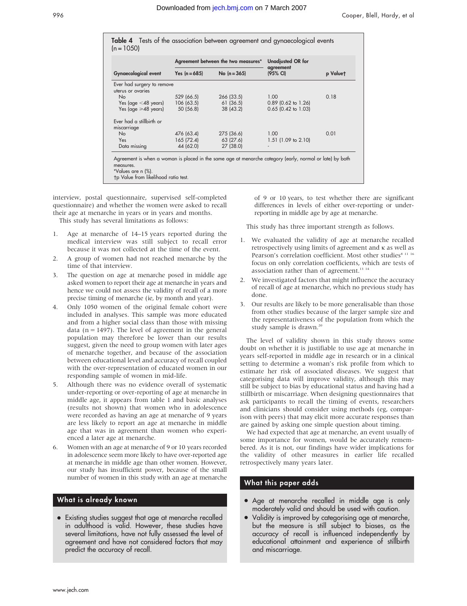|              |  |  | Table 4 Tests of the association between agreement and gynaecological events |  |
|--------------|--|--|------------------------------------------------------------------------------|--|
| $(n = 1050)$ |  |  |                                                                              |  |

|                            |                                   | Agreement between the two measures* | <b>Unadjusted OR for</b> |          |  |
|----------------------------|-----------------------------------|-------------------------------------|--------------------------|----------|--|
| Gynaecological event       | No $(n = 365)$<br>Yes $(n = 685)$ |                                     | agreement<br>(95% CI)    | p Valuet |  |
| Ever had surgery to remove |                                   |                                     |                          |          |  |
| uterus or ovaries          |                                   |                                     |                          |          |  |
| <b>No</b>                  | 529 (66.5)                        | 266 (33.5)                          | 1.00                     | 0.18     |  |
| Yes (age $<$ 48 years)     | 106 (63.5)                        | 61(36.5)                            | $0.89$ (0.62 to 1.26)    |          |  |
| Yes (age $\geq 48$ years)  | 50 (56.8)                         | 38(43.2)                            | $0.65$ (0.42 to 1.03)    |          |  |
| Ever had a stillbirth or   |                                   |                                     |                          |          |  |
| miscarriage                |                                   |                                     |                          |          |  |
| <b>No</b>                  | 476 (63.4)                        | 275 (36.6)                          | 1.00                     | 0.01     |  |
| <b>Yes</b>                 | 165(72.4)                         | 63 (27.6)                           | $1.51$ (1.09 to 2.10)    |          |  |
| Data missing               | 44 (62.0)                         | 27 (38.0)                           |                          |          |  |

-p Value from likelihood ratio test.

interview, postal questionnaire, supervised self-completed questionnaire) and whether the women were asked to recall their age at menarche in years or in years and months.

This study has several limitations as follows:

- 1. Age at menarche of 14–15 years reported during the medical interview was still subject to recall error because it was not collected at the time of the event.
- 2. A group of women had not reached menarche by the time of that interview.
- 3. The question on age at menarche posed in middle age asked women to report their age at menarche in years and hence we could not assess the validity of recall of a more precise timing of menarche (ie, by month and year).
- 4. Only 1050 women of the original female cohort were included in analyses. This sample was more educated and from a higher social class than those with missing data ( $n = 1497$ ). The level of agreement in the general population may therefore be lower than our results suggest, given the need to group women with later ages of menarche together, and because of the association between educational level and accuracy of recall coupled with the over-representation of educated women in our responding sample of women in mid-life.
- 5. Although there was no evidence overall of systematic under-reporting or over-reporting of age at menarche in middle age, it appears from table 1 and basic analyses (results not shown) that women who in adolescence were recorded as having an age at menarche of 9 years are less likely to report an age at menarche in middle age that was in agreement than women who experienced a later age at menarche.
- 6. Women with an age at menarche of 9 or 10 years recorded in adolescence seem more likely to have over-reported age at menarche in middle age than other women. However, our study has insufficient power, because of the small number of women in this study with an age at menarche

# What is already known

• Existing studies suggest that age at menarche recalled in adulthood is valid. However, these studies have several limitations, have not fully assessed the level of agreement and have not considered factors that may predict the accuracy of recall.

of 9 or 10 years, to test whether there are significant differences in levels of either over-reporting or underreporting in middle age by age at menarche.

This study has three important strength as follows.

- 1. We evaluated the validity of age at menarche recalled retrospectively using limits of agreement and k as well as Pearson's correlation coefficient. Most other studies<sup>8 11 16</sup> focus on only correlation coefficients, which are tests of association rather than of agreement.<sup>13</sup> <sup>14</sup>
- 2. We investigated factors that might influence the accuracy of recall of age at menarche, which no previous study has done.
- 3. Our results are likely to be more generalisable than those from other studies because of the larger sample size and the representativeness of the population from which the study sample is drawn. $20$

The level of validity shown in this study throws some doubt on whether it is justifiable to use age at menarche in years self-reported in middle age in research or in a clinical setting to determine a woman's risk profile from which to estimate her risk of associated diseases. We suggest that categorising data will improve validity, although this may still be subject to bias by educational status and having had a stillbirth or miscarriage. When designing questionnaires that ask participants to recall the timing of events, researchers and clinicians should consider using methods (eg, comparison with peers) that may elicit more accurate responses than are gained by asking one simple question about timing.

We had expected that age at menarche, an event usually of some importance for women, would be accurately remembered. As it is not, our findings have wider implications for the validity of other measures in earlier life recalled retrospectively many years later.

# What this paper adds

- Age at menarche recalled in middle age is only moderately valid and should be used with caution.
- Validity is improved by categorising age at menarche, but the measure is still subject to biases, as the accuracy of recall is influenced independently by educational attainment and experience of stillbirth and miscarriage.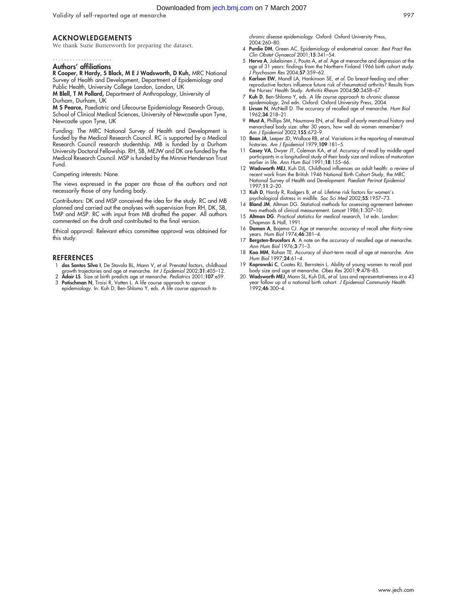Downloaded from [jech.bmj.com](http://jech.bmj.com) on 7 March 2007

Validity of self-reported age at menarche 997

### ACKNOWLEDGEMENTS

We thank Suzie Butterworth for preparing the dataset.

#### Authors' affiliations .....................

R Cooper, R Hardy, S Black, M E J Wadsworth, D Kuh, MRC National Survey of Health and Development, Department of Epidemiology and Public Health, University College London, London, UK

M Blell, T M Pollard, Department of Anthropology, University of Durham, Durham, UK

M S Pearce, Paediatric and Lifecourse Epidemiology Research Group, School of Clinical Medical Sciences, University of Newcastle upon Tyne, Newcastle upon Tyne, UK

Funding: The MRC National Survey of Health and Development is funded by the Medical Research Council. RC is supported by a Medical Research Council research studentship. MB is funded by a Durham University Doctoral Fellowship. RH, SB, MEJW and DK are funded by the Medical Research Council. MSP is funded by the Minnie Henderson Trust Fund.

Competing interests: None.

The views expressed in the paper are those of the authors and not necessarily those of any funding body.

Contributors: DK and MSP conceived the idea for the study. RC and MB planned and carried out the analyses with supervision from RH, DK, SB, TMP and MSP. RC with input from MB drafted the paper. All authors commented on the draft and contributed to the final version.

Ethical approval: Relevant ethics committee approval was obtained for this study.

#### **REFERENCES**

- 1 dos Santos Silva I, De Stavola BL, Mann V, et al. Prenatal factors, childhood
- growth trajectories and age at menarche. I*nt J Epidemiol* 2002;**31**:405–12.<br>2 **Adair LS**. Size at birth predicts age at menarche. *Pediatrics* 2001;1**07**:e59.<br>3 **Potischman N**, Troisi R, Vatten L. A life course approach t
- epidemiology. In: Kuh D, Ben-Shlomo Y, eds. A life course approach to

chronic disease epidemiology. Oxford: Oxford University Press, 2004:260–80.

- 4 Purdie DM, Green AC. Epidemiology of endometrial cancer. Best Pract Res Clin Obstet Gynaecol 2001;15:341–54.
- 5 Herva A, Jokelainen J, Pouta A, et al. Age at menarche and depression at the age of 31 years: findings from the Northern Finland 1966 birth cohort study. J Psychosom Res 2004;57:359–62.
- 6 Karlson EW, Mandl LA, Hankinson SE, et al. Do breast-feeding and other reproductive factors influence future risk of rheumatoid arthritis? Results from the Nurses' Health Study. Arthritis Rheum 2004;50:3458–67.
- 7 Kuh D, Ben-Shlomo Y, eds. A life course approach to chronic disease epidemiology, 2nd edn. Oxford: Oxford University Press, 2004.
- 8 Livson N, McNeill D. The accuracy of recalled age of menarche. Hum Biol 1962;34:218–21.
- 9 Must A, Phillips SM, Naumova EN, et al. Recall of early menstrual history and menarcheal body size: after 30 years, how well do women remember? Am J Epidemiol 2002;155:672–9.
- 10 Bean JA, Leeper JD, Wallace RB, et al. Variations in the reporting of menstrual histories. Am J Epidemiol 1979;109:181-5.
- 11 Casey VA, Dwyer JT, Coleman KA, et al. Accuracy of recall by middle-aged participants in a longitudinal study of their body size and indices of maturation earlier in life. Ann Hum Biol 1991;18:155–66.
- 12 Wadsworth MEJ, Kuh DJL. Childhood influences on adult health: a review of recent work from the British 1946 National Birth Cohort Study, the MRC National Survey of Health and Development. Paediatr Perinat Epidemiol 1997;11:2–20.
- 13 Kuh D, Hardy R, Rodgers B, et al. Lifetime risk factors for women's
- psychological distress in midlite. *Soc Sci Med* 2002;**55**:1957–73.<br>14 **Bland JM**, Altman DG. Statistical methods for assessing agreement between two methods of clinical measurement. Lancet 1986;1:307–10.
- 15 Altman DG. Practical statistics for medical research, 1st edn. London: Chapman & Hall, 1991.
- 16 Damon A, Bajema CJ. Age at menarche: accuracy of recall after thirty-nine years. Hum Biol 1974;46:381–4.
- 17 Bergsten-Brucefors A. A note on the accuracy of recalled age at menarche. Ann Hum Biol 1976;3:71–3.
- 18 Koo MM, Rohan TE. Accuracy of short-term recall of age at menarche. Ann Hum Biol 1997;24:61–4.
- 19 Koprowski C, Coates RJ, Bernstein L. Ability of young women to recall past body size and age at menarche. Obes Res 2001;9:478–85.
- 20 Wadsworth MEJ, Mann SL, Kuh DJL, et al. Loss and representativeness in a 43 ear follow up of a national birth cohort. J Epidemiol Community Health  $1992:46:300-4$